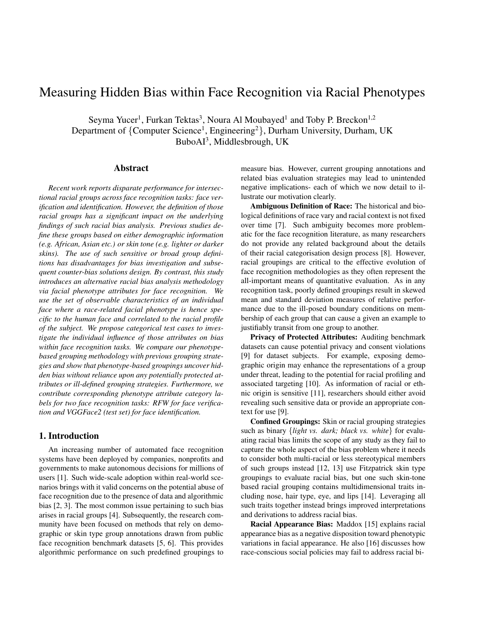# Measuring Hidden Bias within Face Recognition via Racial Phenotypes

Seyma Yucer<sup>1</sup>, Furkan Tektas<sup>3</sup>, Noura Al Moubayed<sup>1</sup> and Toby P. Breckon<sup>1,2</sup> Department of {Computer Science<sup>1</sup>, Engineering<sup>2</sup>}, Durham University, Durham, UK BuboAI<sup>3</sup>, Middlesbrough, UK

#### Abstract

*Recent work reports disparate performance for intersectional racial groups across face recognition tasks: face verification and identification. However, the definition of those racial groups has a significant impact on the underlying findings of such racial bias analysis. Previous studies define these groups based on either demographic information (e.g. African, Asian etc.) or skin tone (e.g. lighter or darker skins). The use of such sensitive or broad group definitions has disadvantages for bias investigation and subsequent counter-bias solutions design. By contrast, this study introduces an alternative racial bias analysis methodology via facial phenotype attributes for face recognition. We use the set of observable characteristics of an individual face where a race-related facial phenotype is hence specific to the human face and correlated to the racial profile of the subject. We propose categorical test cases to investigate the individual influence of those attributes on bias within face recognition tasks. We compare our phenotypebased grouping methodology with previous grouping strategies and show that phenotype-based groupings uncover hidden bias without reliance upon any potentially protected attributes or ill-defined grouping strategies. Furthermore, we contribute corresponding phenotype attribute category labels for two face recognition tasks: RFW for face verification and VGGFace2 (test set) for face identification.*

#### 1. Introduction

An increasing number of automated face recognition systems have been deployed by companies, nonprofits and governments to make autonomous decisions for millions of users [1]. Such wide-scale adoption within real-world scenarios brings with it valid concerns on the potential abuse of face recognition due to the presence of data and algorithmic bias [2, 3]. The most common issue pertaining to such bias arises in racial groups [4]. Subsequently, the research community have been focused on methods that rely on demographic or skin type group annotations drawn from public face recognition benchmark datasets [5, 6]. This provides algorithmic performance on such predefined groupings to

measure bias. However, current grouping annotations and related bias evaluation strategies may lead to unintended negative implications- each of which we now detail to illustrate our motivation clearly.

Ambiguous Definition of Race: The historical and biological definitions of race vary and racial context is not fixed over time [7]. Such ambiguity becomes more problematic for the face recognition literature, as many researchers do not provide any related background about the details of their racial categorisation design process [8]. However, racial groupings are critical to the effective evolution of face recognition methodologies as they often represent the all-important means of quantitative evaluation. As in any recognition task, poorly defined groupings result in skewed mean and standard deviation measures of relative performance due to the ill-posed boundary conditions on membership of each group that can cause a given an example to justifiably transit from one group to another.

Privacy of Protected Attributes: Auditing benchmark datasets can cause potential privacy and consent violations [9] for dataset subjects. For example, exposing demographic origin may enhance the representations of a group under threat, leading to the potential for racial profiling and associated targeting [10]. As information of racial or ethnic origin is sensitive [11], researchers should either avoid revealing such sensitive data or provide an appropriate context for use [9].

Confined Groupings: Skin or racial grouping strategies such as binary {*light vs. dark; black vs. white*} for evaluating racial bias limits the scope of any study as they fail to capture the whole aspect of the bias problem where it needs to consider both multi-racial or less stereotypical members of such groups instead [12, 13] use Fitzpatrick skin type groupings to evaluate racial bias, but one such skin-tone based racial grouping contains multidimensional traits including nose, hair type, eye, and lips [14]. Leveraging all such traits together instead brings improved interpretations and derivations to address racial bias.

Racial Appearance Bias: Maddox [15] explains racial appearance bias as a negative disposition toward phenotypic variations in facial appearance. He also [16] discusses how race-conscious social policies may fail to address racial bi-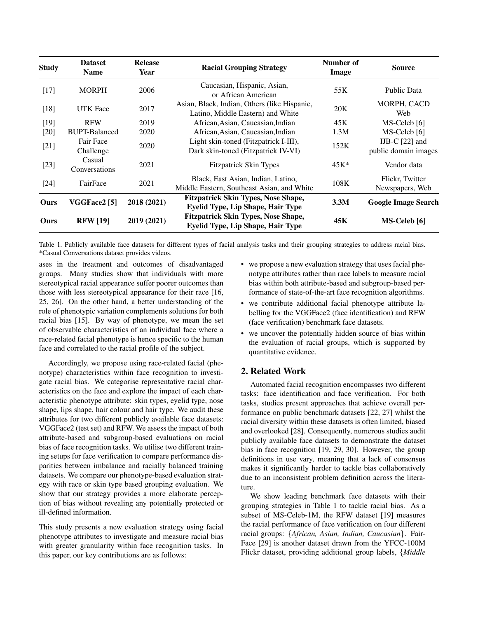| <b>Study</b> | <b>Release</b><br><b>Dataset</b><br>Year<br><b>Name</b> |             | <b>Racial Grouping Strategy</b>                                                        | Number of<br><b>Image</b> | <b>Source</b>                            |  |
|--------------|---------------------------------------------------------|-------------|----------------------------------------------------------------------------------------|---------------------------|------------------------------------------|--|
| $[17]$       | <b>MORPH</b>                                            | 2006        | Caucasian, Hispanic, Asian,<br>or African American                                     | 55K                       | Public Data                              |  |
| $[18]$       | <b>UTK</b> Face                                         | 2017        | Asian, Black, Indian, Others (like Hispanic,<br>Latino, Middle Eastern) and White      | 20K                       | <b>MORPH, CACD</b><br>Web                |  |
| $[19]$       | <b>RFW</b>                                              | 2019        | African, Asian, Caucasian, Indian                                                      | 45K                       | MS-Celeb [6]                             |  |
| $[20]$       | <b>BUPT-Balanced</b>                                    | 2020        | African, Asian, Caucasian, Indian                                                      | 1.3M                      | MS-Celeb [6]                             |  |
| $[21]$       | Fair Face<br>Challenge                                  | 2020        | Light skin-toned (Fitzpatrick I-III),<br>Dark skin-toned (Fitzpatrick IV-VI)           | 152K                      | IJB-C $[22]$ and<br>public domain images |  |
| $[23]$       | Casual<br>Conversations                                 | 2021        | <b>Fitzpatrick Skin Types</b>                                                          | $45K^*$                   | Vendor data                              |  |
| $[24]$       | FairFace                                                | 2021        | Black, East Asian, Indian, Latino,<br>Middle Eastern, Southeast Asian, and White       | 108K                      | Flickr, Twitter<br>Newspapers, Web       |  |
| Ours         | VGGFace2 <sup>[5]</sup>                                 | 2018 (2021) | <b>Fitzpatrick Skin Types, Nose Shape,</b><br><b>Eyelid Type, Lip Shape, Hair Type</b> | 3.3M                      | <b>Google Image Search</b>               |  |
| Ours         | <b>RFW</b> [19]                                         | 2019 (2021) | <b>Fitzpatrick Skin Types, Nose Shape,</b><br><b>Eyelid Type, Lip Shape, Hair Type</b> | 45K                       | MS-Celeb [6]                             |  |

Table 1. Publicly available face datasets for different types of facial analysis tasks and their grouping strategies to address racial bias. \*Casual Conversations dataset provides videos.

ases in the treatment and outcomes of disadvantaged groups. Many studies show that individuals with more stereotypical racial appearance suffer poorer outcomes than those with less stereotypical appearance for their race [16, 25, 26]. On the other hand, a better understanding of the role of phenotypic variation complements solutions for both racial bias [15]. By way of phenotype, we mean the set of observable characteristics of an individual face where a race-related facial phenotype is hence specific to the human face and correlated to the racial profile of the subject.

Accordingly, we propose using race-related facial (phenotype) characteristics within face recognition to investigate racial bias. We categorise representative racial characteristics on the face and explore the impact of each characteristic phenotype attribute: skin types, eyelid type, nose shape, lips shape, hair colour and hair type. We audit these attributes for two different publicly available face datasets: VGGFace2 (test set) and RFW. We assess the impact of both attribute-based and subgroup-based evaluations on racial bias of face recognition tasks. We utilise two different training setups for face verification to compare performance disparities between imbalance and racially balanced training datasets. We compare our phenotype-based evaluation strategy with race or skin type based grouping evaluation. We show that our strategy provides a more elaborate perception of bias without revealing any potentially protected or ill-defined information.

This study presents a new evaluation strategy using facial phenotype attributes to investigate and measure racial bias with greater granularity within face recognition tasks. In this paper, our key contributions are as follows:

- we propose a new evaluation strategy that uses facial phenotype attributes rather than race labels to measure racial bias within both attribute-based and subgroup-based performance of state-of-the-art face recognition algorithms.
- we contribute additional facial phenotype attribute labelling for the VGGFace2 (face identification) and RFW (face verification) benchmark face datasets.
- we uncover the potentially hidden source of bias within the evaluation of racial groups, which is supported by quantitative evidence.

# 2. Related Work

Automated facial recognition encompasses two different tasks: face identification and face verification. For both tasks, studies present approaches that achieve overall performance on public benchmark datasets [22, 27] whilst the racial diversity within these datasets is often limited, biased and overlooked [28]. Consequently, numerous studies audit publicly available face datasets to demonstrate the dataset bias in face recognition [19, 29, 30]. However, the group definitions in use vary, meaning that a lack of consensus makes it significantly harder to tackle bias collaboratively due to an inconsistent problem definition across the literature.

We show leading benchmark face datasets with their grouping strategies in Table 1 to tackle racial bias. As a subset of MS-Celeb-1M, the RFW dataset [19] measures the racial performance of face verification on four different racial groups: {*African, Asian, Indian, Caucasian*}. Fair-Face [29] is another dataset drawn from the YFCC-100M Flickr dataset, providing additional group labels, {*Middle*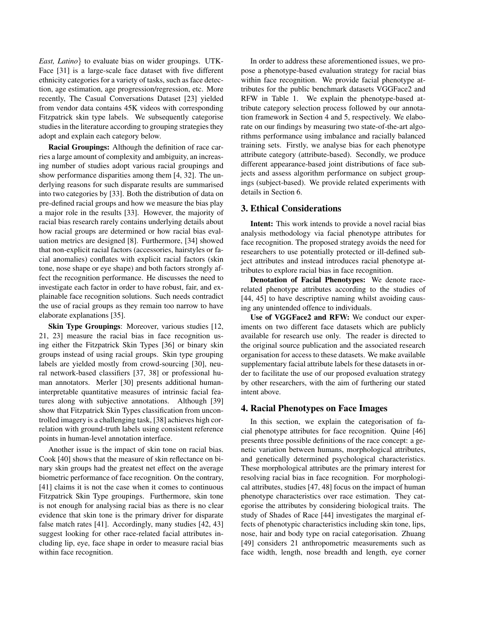*East, Latino*} to evaluate bias on wider groupings. UTK-Face [31] is a large-scale face dataset with five different ethnicity categories for a variety of tasks, such as face detection, age estimation, age progression/regression, etc. More recently, The Casual Conversations Dataset [23] yielded from vendor data contains 45K videos with corresponding Fitzpatrick skin type labels. We subsequently categorise studies in the literature according to grouping strategies they adopt and explain each category below.

Racial Groupings: Although the definition of race carries a large amount of complexity and ambiguity, an increasing number of studies adopt various racial groupings and show performance disparities among them [4, 32]. The underlying reasons for such disparate results are summarised into two categories by [33]. Both the distribution of data on pre-defined racial groups and how we measure the bias play a major role in the results [33]. However, the majority of racial bias research rarely contains underlying details about how racial groups are determined or how racial bias evaluation metrics are designed [8]. Furthermore, [34] showed that non-explicit racial factors (accessories, hairstyles or facial anomalies) conflates with explicit racial factors (skin tone, nose shape or eye shape) and both factors strongly affect the recognition performance. He discusses the need to investigate each factor in order to have robust, fair, and explainable face recognition solutions. Such needs contradict the use of racial groups as they remain too narrow to have elaborate explanations [35].

Skin Type Groupings: Moreover, various studies [12, 21, 23] measure the racial bias in face recognition using either the Fitzpatrick Skin Types [36] or binary skin groups instead of using racial groups. Skin type grouping labels are yielded mostly from crowd-sourcing [30], neural network-based classifiers [37, 38] or professional human annotators. Merler [30] presents additional humaninterpretable quantitative measures of intrinsic facial features along with subjective annotations. Although [39] show that Fitzpatrick Skin Types classification from uncontrolled imagery is a challenging task, [38] achieves high correlation with ground-truth labels using consistent reference points in human-level annotation interface.

Another issue is the impact of skin tone on racial bias. Cook [40] shows that the measure of skin reflectance on binary skin groups had the greatest net effect on the average biometric performance of face recognition. On the contrary, [41] claims it is not the case when it comes to continuous Fitzpatrick Skin Type groupings. Furthermore, skin tone is not enough for analysing racial bias as there is no clear evidence that skin tone is the primary driver for disparate false match rates [41]. Accordingly, many studies [42, 43] suggest looking for other race-related facial attributes including lip, eye, face shape in order to measure racial bias within face recognition.

In order to address these aforementioned issues, we propose a phenotype-based evaluation strategy for racial bias within face recognition. We provide facial phenotype attributes for the public benchmark datasets VGGFace2 and RFW in Table 1. We explain the phenotype-based attribute category selection process followed by our annotation framework in Section 4 and 5, respectively. We elaborate on our findings by measuring two state-of-the-art algorithms performance using imbalance and racially balanced training sets. Firstly, we analyse bias for each phenotype attribute category (attribute-based). Secondly, we produce different appearance-based joint distributions of face subjects and assess algorithm performance on subject groupings (subject-based). We provide related experiments with details in Section 6.

#### 3. Ethical Considerations

Intent: This work intends to provide a novel racial bias analysis methodology via facial phenotype attributes for face recognition. The proposed strategy avoids the need for researchers to use potentially protected or ill-defined subject attributes and instead introduces racial phenotype attributes to explore racial bias in face recognition.

Denotation of Facial Phenotypes: We denote racerelated phenotype attributes according to the studies of [44, 45] to have descriptive naming whilst avoiding causing any unintended offence to individuals.

Use of VGGFace2 and RFW: We conduct our experiments on two different face datasets which are publicly available for research use only. The reader is directed to the original source publication and the associated research organisation for access to these datasets. We make available supplementary facial attribute labels for these datasets in order to facilitate the use of our proposed evaluation strategy by other researchers, with the aim of furthering our stated intent above.

#### 4. Racial Phenotypes on Face Images

In this section, we explain the categorisation of facial phenotype attributes for face recognition. Quine [46] presents three possible definitions of the race concept: a genetic variation between humans, morphological attributes, and genetically determined psychological characteristics. These morphological attributes are the primary interest for resolving racial bias in face recognition. For morphological attributes, studies [47, 48] focus on the impact of human phenotype characteristics over race estimation. They categorise the attributes by considering biological traits. The study of Shades of Race [44] investigates the marginal effects of phenotypic characteristics including skin tone, lips, nose, hair and body type on racial categorisation. Zhuang [49] considers 21 anthropometric measurements such as face width, length, nose breadth and length, eye corner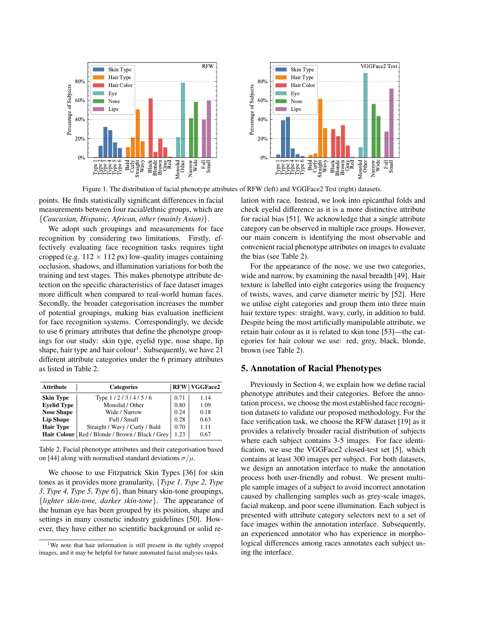

Figure 1. The distribution of facial phenotype attributes of RFW (left) and VGGFace2 Test (right) datasets.

points. He finds statistically significant differences in facial measurements between four racial/ethnic groups, which are {*Caucasian, Hispanic, African, other (mainly Asian)*}.

We adopt such groupings and measurements for face recognition by considering two limitations. Firstly, effectively evaluating face recognition tasks requires tight cropped (e.g.  $112 \times 112$  px) low-quality images containing occlusion, shadows, and illumination variations for both the training and test stages. This makes phenotype attribute detection on the specific characteristics of face dataset images more difficult when compared to real-world human faces. Secondly, the broader categorisation increases the number of potential groupings, making bias evaluation inefficient for face recognition systems. Correspondingly, we decide to use 6 primary attributes that define the phenotype groupings for our study: skin type, eyelid type, nose shape, lip shape, hair type and hair colour<sup>1</sup>. Subsequently, we have 21 different attribute categories under the 6 primary attributes as listed in Table 2.

| <b>Attribute</b>   | <b>Categories</b>                                 |      |      |
|--------------------|---------------------------------------------------|------|------|
| <b>Skin Type</b>   | Type 1/2/3/4/5/6                                  | 0.71 | 1.14 |
| <b>Eyelid Type</b> | Monolid / Other                                   | 0.80 | 1.09 |
| <b>Nose Shape</b>  | Wide / Narrow                                     | 0.24 | 0.18 |
| <b>Lip Shape</b>   | Full / Small                                      | 0.28 | 0.63 |
| <b>Hair Type</b>   | Straight / Wavy / Curly / Bald                    | 0.70 | 1.11 |
|                    | Hair Colour   Red / Blonde / Brown / Black / Grey | 1.23 | 0.67 |

Table 2. Facial phenotype attributes and their categorisation based on [44] along with normalised standard deviations  $\sigma/\mu$ .

We choose to use Fitzpatrick Skin Types [36] for skin tones as it provides more granularity, {*Type 1, Type 2, Type 3, Type 4, Type 5, Type 6*}, than binary skin-tone groupings, {*lighter skin-tone, darker skin-tone*}. The appearance of the human eye has been grouped by its position, shape and settings in many cosmetic industry guidelines [50]. However, they have either no scientific background or solid relation with race. Instead, we look into epicanthal folds and check eyelid difference as it is a more distinctive attribute for racial bias [51]. We acknowledge that a single attribute category can be observed in multiple race groups. However, our main concern is identifying the most observable and convenient racial phenotype attributes on images to evaluate the bias (see Table 2).

For the appearance of the nose, we use two categories, wide and narrow, by examining the nasal breadth [49]. Hair texture is labelled into eight categories using the frequency of twists, waves, and curve diameter metric by [52]. Here we utilise eight categories and group them into three main hair texture types: straight, wavy, curly, in addition to bald. Despite being the most artificially manipulable attribute, we retain hair colour as it is related to skin tone [53]—the categories for hair colour we use: red, grey, black, blonde, brown (see Table 2).

# 5. Annotation of Racial Phenotypes

Previously in Section 4, we explain how we define racial phenotype attributes and their categories. Before the annotation process, we choose the most established face recognition datasets to validate our proposed methodology. For the face verification task, we choose the RFW dataset [19] as it provides a relatively broader racial distribution of subjects where each subject contains 3-5 images. For face identification, we use the VGGFace2 closed-test set [5], which contains at least 300 images per subject. For both datasets, we design an annotation interface to make the annotation process both user-friendly and robust. We present multiple sample images of a subject to avoid incorrect annotation caused by challenging samples such as grey-scale images, facial makeup, and poor scene illumination. Each subject is presented with attribute category selectors next to a set of face images within the annotation interface. Subsequently, an experienced annotator who has experience in morphological differences among races annotates each subject using the interface.

<sup>&</sup>lt;sup>1</sup>We note that hair information is still present in the tightly cropped images, and it may be helpful for future automated facial analyses tasks.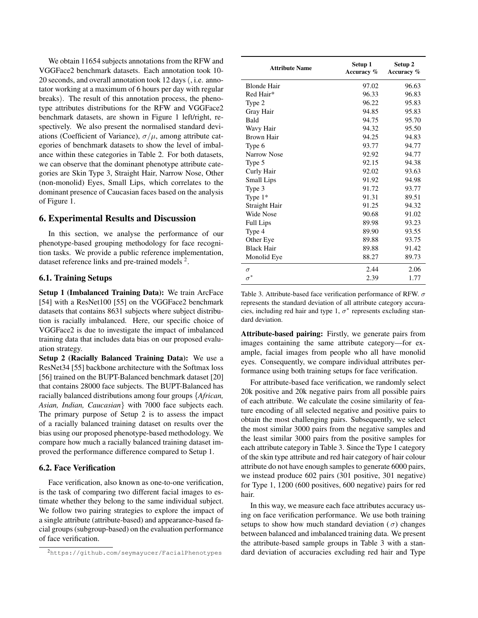We obtain 11654 subjects annotations from the RFW and VGGFace2 benchmark datasets. Each annotation took 10- 20 seconds, and overall annotation took 12 days (, i.e. annotator working at a maximum of 6 hours per day with regular breaks). The result of this annotation process, the phenotype attributes distributions for the RFW and VGGFace2 benchmark datasets, are shown in Figure 1 left/right, respectively. We also present the normalised standard deviations (Coefficient of Variance),  $\sigma/\mu$ , among attribute categories of benchmark datasets to show the level of imbalance within these categories in Table 2. For both datasets, we can observe that the dominant phenotype attribute categories are Skin Type 3, Straight Hair, Narrow Nose, Other (non-monolid) Eyes, Small Lips, which correlates to the dominant presence of Caucasian faces based on the analysis of Figure 1.

## 6. Experimental Results and Discussion

In this section, we analyse the performance of our phenotype-based grouping methodology for face recognition tasks. We provide a public reference implementation, dataset reference links and pre-trained models  $2$ .

### 6.1. Training Setups

Setup 1 (Imbalanced Training Data): We train ArcFace [54] with a ResNet100 [55] on the VGGFace2 benchmark datasets that contains 8631 subjects where subject distribution is racially imbalanced. Here, our specific choice of VGGFace2 is due to investigate the impact of imbalanced training data that includes data bias on our proposed evaluation strategy.

Setup 2 (Racially Balanced Training Data): We use a ResNet34 [55] backbone architecture with the Softmax loss [56] trained on the BUPT-Balanced benchmark dataset [20] that contains 28000 face subjects. The BUPT-Balanced has racially balanced distributions among four groups {*African, Asian, Indian, Caucasian*} with 7000 face subjects each. The primary purpose of Setup 2 is to assess the impact of a racially balanced training dataset on results over the bias using our proposed phenotype-based methodology. We compare how much a racially balanced training dataset improved the performance difference compared to Setup 1.

#### 6.2. Face Verification

Face verification, also known as one-to-one verification, is the task of comparing two different facial images to estimate whether they belong to the same individual subject. We follow two pairing strategies to explore the impact of a single attribute (attribute-based) and appearance-based facial groups (subgroup-based) on the evaluation performance of face verification.

| <b>Attribute Name</b> | Setup 1<br>Accuracy % | Setup 2<br>Accuracy % |
|-----------------------|-----------------------|-----------------------|
| <b>Blonde Hair</b>    | 97.02                 | 96.63                 |
| Red Hair*             | 96.33                 | 96.83                 |
| Type 2                | 96.22                 | 95.83                 |
| Gray Hair             | 94.85                 | 95.83                 |
| <b>Bald</b>           | 94.75                 | 95.70                 |
| Wavy Hair             | 94.32                 | 95.50                 |
| <b>Brown Hair</b>     | 94.25                 | 94.83                 |
| Type 6                | 93.77                 | 94.77                 |
| Narrow Nose           | 92.92                 | 94.77                 |
| Type 5                | 92.15                 | 94.38                 |
| Curly Hair            | 92.02                 | 93.63                 |
| Small Lips            | 91.92                 | 94.98                 |
| Type 3                | 91.72                 | 93.77                 |
| Type $1*$             | 91.31                 | 89.51                 |
| Straight Hair         | 91.25                 | 94.32                 |
| Wide Nose             | 90.68                 | 91.02                 |
| <b>Full Lips</b>      | 89.98                 | 93.23                 |
| Type 4                | 89.90                 | 93.55                 |
| Other Eye             | 89.88                 | 93.75                 |
| <b>Black Hair</b>     | 89.88                 | 91.42                 |
| Monolid Eye           | 88.27                 | 89.73                 |
| $\sigma$              | 2.44                  | 2.06                  |
| $\sigma^*$            | 2.39                  | 1.77                  |

Table 3. Attribute-based face verification performance of RFW.  $\sigma$ represents the standard deviation of all attribute category accuracies, including red hair and type 1,  $\sigma^*$  represents excluding standard deviation.

Attribute-based pairing: Firstly, we generate pairs from images containing the same attribute category—for example, facial images from people who all have monolid eyes. Consequently, we compare individual attributes performance using both training setups for face verification.

For attribute-based face verification, we randomly select 20k positive and 20k negative pairs from all possible pairs of each attribute. We calculate the cosine similarity of feature encoding of all selected negative and positive pairs to obtain the most challenging pairs. Subsequently, we select the most similar 3000 pairs from the negative samples and the least similar 3000 pairs from the positive samples for each attribute category in Table 3. Since the Type 1 category of the skin type attribute and red hair category of hair colour attribute do not have enough samples to generate 6000 pairs, we instead produce 602 pairs (301 positive, 301 negative) for Type 1, 1200 (600 positives, 600 negative) pairs for red hair.

In this way, we measure each face attributes accuracy using on face verification performance. We use both training setups to show how much standard deviation ( $\sigma$ ) changes between balanced and imbalanced training data. We present the attribute-based sample groups in Table 3 with a standard deviation of accuracies excluding red hair and Type

<sup>2</sup>https://github.com/seymayucer/FacialPhenotypes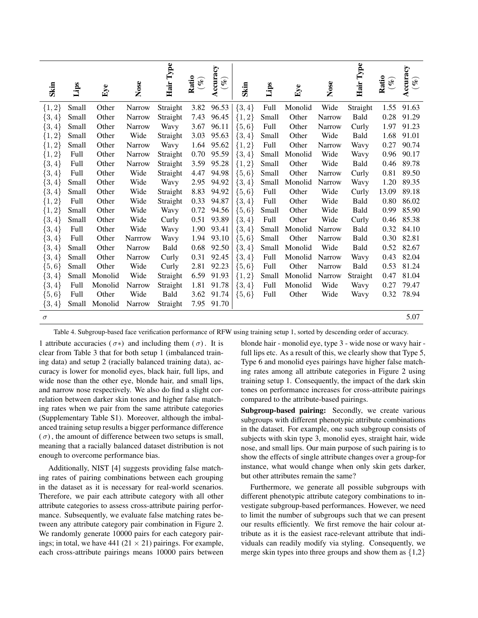| Skin       | Lips  | Eye     | Nose           | Hair Type | Ratio<br>$(\mathscr{C})$ | Accuracy<br>$\mathscr{C}_{\rho}$ | Skin       | Lips        | ${\rm Eye}$ | Nose          | Hair Type | Ratio<br>$\mathscr{E}$ | Accuracy<br>$(\mathcal{C})$ |
|------------|-------|---------|----------------|-----------|--------------------------|----------------------------------|------------|-------------|-------------|---------------|-----------|------------------------|-----------------------------|
| ${1, 2}$   | Small | Other   | Narrow         | Straight  | 3.82                     | 96.53                            | $\{3,4\}$  | <b>Full</b> | Monolid     | Wide          | Straight  | 1.55                   | 91.63                       |
| $\{3,4\}$  | Small | Other   | Narrow         | Straight  | 7.43                     | 96.45                            | $\{1,2\}$  | Small       | Other       | <b>Narrow</b> | Bald      | 0.28                   | 91.29                       |
| $\{3, 4\}$ | Small | Other   | Narrow         | Wavy      | 3.67                     | 96.11                            | $\{5,6\}$  | Full        | Other       | Narrow        | Curly     | 1.97                   | 91.23                       |
| ${1, 2}$   | Small | Other   | Wide           | Straight  | 3.03                     | 95.63                            | $\{3, 4\}$ | Small       | Other       | Wide          | Bald      | 1.68                   | 91.01                       |
| ${1, 2}$   | Small | Other   | <b>Narrow</b>  | Wavy      | 1.64                     | 95.62                            | $\{1,2\}$  | Full        | Other       | Narrow        | Wavy      | 0.27                   | 90.74                       |
| ${1, 2}$   | Full  | Other   | <b>Narrow</b>  | Straight  | 0.70                     | 95.59                            | $\{3,4\}$  | Small       | Monolid     | Wide          | Wavy      | 0.96                   | 90.17                       |
| $\{3,4\}$  | Full  | Other   | <b>Narrow</b>  | Straight  | 3.59                     | 95.28                            | ${1, 2}$   | Small       | Other       | Wide          | Bald      | 0.46                   | 89.78                       |
| $\{3, 4\}$ | Full  | Other   | Wide           | Straight  | 4.47                     | 94.98                            | $\{5,6\}$  | Small       | Other       | Narrow        | Curly     | 0.81                   | 89.50                       |
| $\{3, 4\}$ | Small | Other   | Wide           | Wavy      | 2.95                     | 94.92                            | $\{3, 4\}$ | Small       | Monolid     | Narrow        | Wavy      | 1.20                   | 89.35                       |
| $\{3,4\}$  | Small | Other   | Wide           | Straight  | 8.83                     | 94.92                            | $\{5,6\}$  | Full        | Other       | Wide          | Curly     | 13.09                  | 89.18                       |
| ${1, 2}$   | Full  | Other   | Wide           | Straight  | 0.33                     | 94.87                            | $\{3,4\}$  | Full        | Other       | Wide          | Bald      | 0.80                   | 86.02                       |
| ${1, 2}$   | Small | Other   | Wide           | Wavy      | 0.72                     | 94.56                            | $\{5,6\}$  | Small       | Other       | Wide          | Bald      | 0.99                   | 85.90                       |
| $\{3,4\}$  | Small | Other   | Wide           | Curly     | 0.51                     | 93.89                            | $\{3, 4\}$ | Full        | Other       | Wide          | Curly     | 0.46                   | 85.38                       |
| ${3, 4}$   | Full  | Other   | Wide           | Wavy      | 1.90                     | 93.41                            | $\{3,4\}$  | Small       | Monolid     | <b>Narrow</b> | Bald      | 0.32                   | 84.10                       |
| $\{3, 4\}$ | Full  | Other   | <b>Narrrow</b> | Wavy      | 1.94                     | 93.10                            | $\{5,6\}$  | Small       | Other       | Narrow        | Bald      | 0.30                   | 82.81                       |
| $\{3,4\}$  | Small | Other   | <b>Narrow</b>  | Bald      | 0.68                     | 92.50                            | $\{3,4\}$  | Small       | Monolid     | Wide          | Bald      | 0.52                   | 82.67                       |
| $\{3, 4\}$ | Small | Other   | <b>Narrow</b>  | Curly     | 0.31                     | 92.45                            | $\{3,4\}$  | Full        | Monolid     | Narrow        | Wavy      | 0.43                   | 82.04                       |
| ${5, 6}$   | Small | Other   | Wide           | Curly     | 2.81                     | 92.23                            | $\{5,6\}$  | Full        | Other       | Narrow        | Bald      | 0.53                   | 81.24                       |
| $\{3, 4\}$ | Small | Monolid | Wide           | Straight  | 6.59                     | 91.93                            | ${1,2}$    | Small       | Monolid     | Narrow        | Straight  | 0.47                   | 81.04                       |
| $\{3, 4\}$ | Full  | Monolid | Narrow         | Straight  | 1.81                     | 91.78                            | $\{3,4\}$  | Full        | Monolid     | Wide          | Wavy      | 0.27                   | 79.47                       |
| ${5, 6}$   | Full  | Other   | Wide           | Bald      | 3.62                     | 91.74                            | $\{5,6\}$  | Full        | Other       | Wide          | Wavy      | 0.32                   | 78.94                       |
| $\{3,4\}$  | Small | Monolid | Narrow         | Straight  | 7.95                     | 91.70                            |            |             |             |               |           |                        |                             |
| $\sigma$   |       |         |                |           |                          |                                  |            |             |             |               |           |                        | 5.07                        |

Table 4. Subgroup-based face verification performance of RFW using training setup 1, sorted by descending order of accuracy.

1 attribute accuracies ( $\sigma$ \*) and including them ( $\sigma$ ). It is clear from Table 3 that for both setup 1 (imbalanced training data) and setup 2 (racially balanced training data), accuracy is lower for monolid eyes, black hair, full lips, and wide nose than the other eye, blonde hair, and small lips, and narrow nose respectively. We also do find a slight correlation between darker skin tones and higher false matching rates when we pair from the same attribute categories (Supplementary Table S1). Moreover, although the imbalanced training setup results a bigger performance difference  $(\sigma)$ , the amount of difference between two setups is small, meaning that a racially balanced dataset distribution is not enough to overcome performance bias.

Additionally, NIST [4] suggests providing false matching rates of pairing combinations between each grouping in the dataset as it is necessary for real-world scenarios. Therefore, we pair each attribute category with all other attribute categories to assess cross-attribute pairing performance. Subsequently, we evaluate false matching rates between any attribute category pair combination in Figure 2. We randomly generate 10000 pairs for each category pairings; in total, we have 441 (21  $\times$  21) pairings. For example, each cross-attribute pairings means 10000 pairs between

blonde hair - monolid eye, type 3 - wide nose or wavy hair full lips etc. As a result of this, we clearly show that Type 5, Type 6 and monolid eyes pairings have higher false matching rates among all attribute categories in Figure 2 using training setup 1. Consequently, the impact of the dark skin tones on performance increases for cross-attribute pairings compared to the attribute-based pairings.

Subgroup-based pairing: Secondly, we create various subgroups with different phenotypic attribute combinations in the dataset. For example, one such subgroup consists of subjects with skin type 3, monolid eyes, straight hair, wide nose, and small lips. Our main purpose of such pairing is to show the effects of single attribute changes over a group-for instance, what would change when only skin gets darker, but other attributes remain the same?

Furthermore, we generate all possible subgroups with different phenotypic attribute category combinations to investigate subgroup-based performances. However, we need to limit the number of subgroups such that we can present our results efficiently. We first remove the hair colour attribute as it is the easiest race-relevant attribute that individuals can readily modify via styling. Consequently, we merge skin types into three groups and show them as  $\{1,2\}$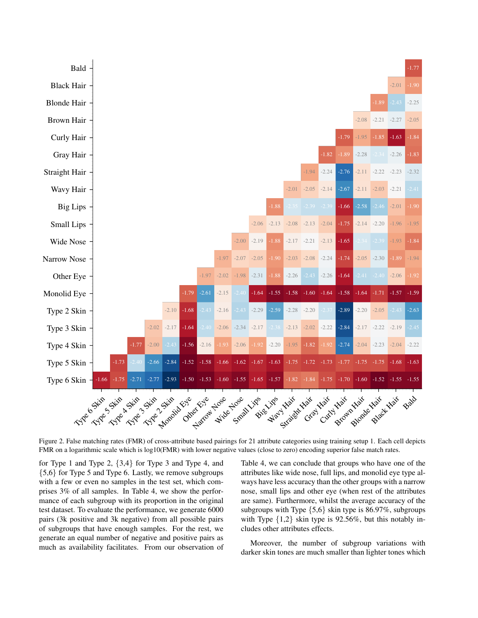

Figure 2. False matching rates (FMR) of cross-attribute based pairings for 21 attribute categories using training setup 1. Each cell depicts FMR on a logarithmic scale which is log10(FMR) with lower negative values (close to zero) encoding superior false match rates.

for Type 1 and Type 2, {3,4} for Type 3 and Type 4, and {5,6} for Type 5 and Type 6. Lastly, we remove subgroups with a few or even no samples in the test set, which comprises 3% of all samples. In Table 4, we show the performance of each subgroup with its proportion in the original test dataset. To evaluate the performance, we generate 6000 pairs (3k positive and 3k negative) from all possible pairs of subgroups that have enough samples. For the rest, we generate an equal number of negative and positive pairs as much as availability facilitates. From our observation of Table 4, we can conclude that groups who have one of the attributes like wide nose, full lips, and monolid eye type always have less accuracy than the other groups with a narrow nose, small lips and other eye (when rest of the attributes are same). Furthermore, whilst the average accuracy of the subgroups with Type {5,6} skin type is 86.97%, subgroups with Type  $\{1,2\}$  skin type is 92.56%, but this notably includes other attributes effects.

Moreover, the number of subgroup variations with darker skin tones are much smaller than lighter tones which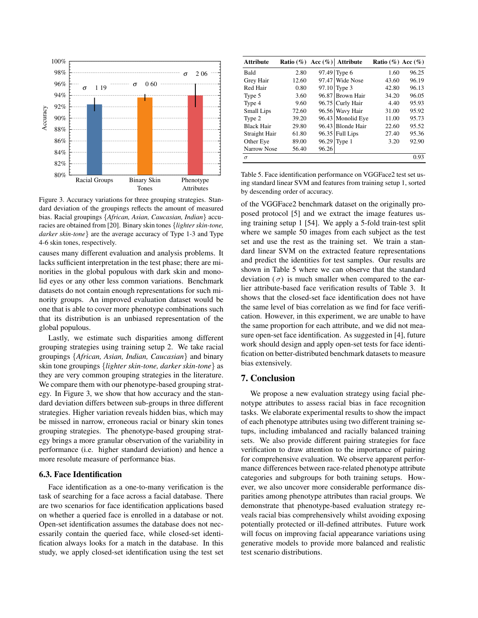

Figure 3. Accuracy variations for three grouping strategies. Standard deviation of the groupings reflects the amount of measured bias. Racial groupings {*African, Asian, Caucasian, Indian*} accuracies are obtained from [20]. Binary skin tones {*lighter skin-tone, darker skin-tone*} are the average accuracy of Type 1-3 and Type 4-6 skin tones, respectively.

causes many different evaluation and analysis problems. It lacks sufficient interpretation in the test phase; there are minorities in the global populous with dark skin and monolid eyes or any other less common variations. Benchmark datasets do not contain enough representations for such minority groups. An improved evaluation dataset would be one that is able to cover more phenotype combinations such that its distribution is an unbiased representation of the global populous.

Lastly, we estimate such disparities among different grouping strategies using training setup 2. We take racial groupings {*African, Asian, Indian, Caucasian*} and binary skin tone groupings {*lighter skin-tone, darker skin-tone*} as they are very common grouping strategies in the literature. We compare them with our phenotype-based grouping strategy. In Figure 3, we show that how accuracy and the standard deviation differs between sub-groups in three different strategies. Higher variation reveals hidden bias, which may be missed in narrow, erroneous racial or binary skin tones grouping strategies. The phenotype-based grouping strategy brings a more granular observation of the variability in performance (i.e. higher standard deviation) and hence a more resolute measure of performance bias.

#### 6.3. Face Identification

Face identification as a one-to-many verification is the task of searching for a face across a facial database. There are two scenarios for face identification applications based on whether a queried face is enrolled in a database or not. Open-set identification assumes the database does not necessarily contain the queried face, while closed-set identification always looks for a match in the database. In this study, we apply closed-set identification using the test set

| <b>Attribute</b>  |       |       | Ratio $(\%)$ Acc $(\%)$ Attribute | Ratio $(\%)$ Acc $(\%)$ |       |
|-------------------|-------|-------|-----------------------------------|-------------------------|-------|
| Bald              | 2.80  |       | 97.49 Type 6                      | 1.60                    | 96.25 |
| Grey Hair         | 12.60 |       | $97.47$ Wide Nose                 | 43.60                   | 96.19 |
| Red Hair          | 0.80  |       | $97.10$ Type 3                    | 42.80                   | 96.13 |
| Type 5            | 3.60  |       | 96.87 Brown Hair                  | 34.20                   | 96.05 |
| Type 4            | 9.60  |       | 96.75 Curly Hair                  | 4.40                    | 95.93 |
| Small Lips        | 72.60 |       | 96.56 Wavy Hair                   | 31.00                   | 95.92 |
| Type 2            | 39.20 |       | 96.43 Monolid Eye                 | 11.00                   | 95.73 |
| <b>Black Hair</b> | 29.80 |       | 96.43 Blonde Hair                 | 22.60                   | 95.52 |
| Straight Hair     | 61.80 |       | $96.35$ Full Lips                 | 27.40                   | 95.36 |
| Other Eye         | 89.00 |       | $96.29$ Type 1                    | 3.20                    | 92.90 |
| Narrow Nose       | 56.40 | 96.26 |                                   |                         |       |
| $\sigma$          |       |       |                                   |                         | 0.93  |

Table 5. Face identification performance on VGGFace2 test set using standard linear SVM and features from training setup 1, sorted by descending order of accuracy.

of the VGGFace2 benchmark dataset on the originally proposed protocol [5] and we extract the image features using training setup 1 [54]. We apply a 5-fold train-test split where we sample 50 images from each subject as the test set and use the rest as the training set. We train a standard linear SVM on the extracted feature representations and predict the identities for test samples. Our results are shown in Table 5 where we can observe that the standard deviation  $(\sigma)$  is much smaller when compared to the earlier attribute-based face verification results of Table 3. It shows that the closed-set face identification does not have the same level of bias correlation as we find for face verification. However, in this experiment, we are unable to have the same proportion for each attribute, and we did not measure open-set face identification. As suggested in [4], future work should design and apply open-set tests for face identification on better-distributed benchmark datasets to measure bias extensively.

## 7. Conclusion

We propose a new evaluation strategy using facial phenotype attributes to assess racial bias in face recognition tasks. We elaborate experimental results to show the impact of each phenotype attributes using two different training setups, including imbalanced and racially balanced training sets. We also provide different pairing strategies for face verification to draw attention to the importance of pairing for comprehensive evaluation. We observe apparent performance differences between race-related phenotype attribute categories and subgroups for both training setups. However, we also uncover more considerable performance disparities among phenotype attributes than racial groups. We demonstrate that phenotype-based evaluation strategy reveals racial bias comprehensively whilst avoiding exposing potentially protected or ill-defined attributes. Future work will focus on improving facial appearance variations using generative models to provide more balanced and realistic test scenario distributions.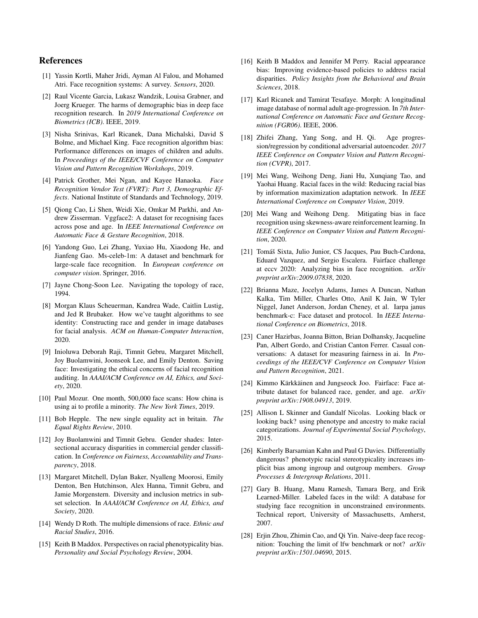#### References

- [1] Yassin Kortli, Maher Jridi, Ayman Al Falou, and Mohamed Atri. Face recognition systems: A survey. *Sensors*, 2020.
- [2] Raul Vicente Garcia, Lukasz Wandzik, Louisa Grabner, and Joerg Krueger. The harms of demographic bias in deep face recognition research. In *2019 International Conference on Biometrics (ICB)*. IEEE, 2019.
- [3] Nisha Srinivas, Karl Ricanek, Dana Michalski, David S Bolme, and Michael King. Face recognition algorithm bias: Performance differences on images of children and adults. In *Proceedings of the IEEE/CVF Conference on Computer Vision and Pattern Recognition Workshops*, 2019.
- [4] Patrick Grother, Mei Ngan, and Kayee Hanaoka. *Face Recognition Vendor Test (FVRT): Part 3, Demographic Effects*. National Institute of Standards and Technology, 2019.
- [5] Qiong Cao, Li Shen, Weidi Xie, Omkar M Parkhi, and Andrew Zisserman. Vggface2: A dataset for recognising faces across pose and age. In *IEEE International Conference on Automatic Face & Gesture Recognition*, 2018.
- [6] Yandong Guo, Lei Zhang, Yuxiao Hu, Xiaodong He, and Jianfeng Gao. Ms-celeb-1m: A dataset and benchmark for large-scale face recognition. In *European conference on computer vision*. Springer, 2016.
- [7] Jayne Chong-Soon Lee. Navigating the topology of race, 1994.
- [8] Morgan Klaus Scheuerman, Kandrea Wade, Caitlin Lustig, and Jed R Brubaker. How we've taught algorithms to see identity: Constructing race and gender in image databases for facial analysis. *ACM on Human-Computer Interaction*, 2020.
- [9] Inioluwa Deborah Raji, Timnit Gebru, Margaret Mitchell, Joy Buolamwini, Joonseok Lee, and Emily Denton. Saving face: Investigating the ethical concerns of facial recognition auditing. In *AAAI/ACM Conference on AI, Ethics, and Society*, 2020.
- [10] Paul Mozur. One month, 500,000 face scans: How china is using ai to profile a minority. *The New York Times*, 2019.
- [11] Bob Hepple. The new single equality act in britain. *The Equal Rights Review*, 2010.
- [12] Joy Buolamwini and Timnit Gebru. Gender shades: Intersectional accuracy disparities in commercial gender classification. In *Conference on Fairness, Accountability and Transparency*, 2018.
- [13] Margaret Mitchell, Dylan Baker, Nyalleng Moorosi, Emily Denton, Ben Hutchinson, Alex Hanna, Timnit Gebru, and Jamie Morgenstern. Diversity and inclusion metrics in subset selection. In *AAAI/ACM Conference on AI, Ethics, and Society*, 2020.
- [14] Wendy D Roth. The multiple dimensions of race. *Ethnic and Racial Studies*, 2016.
- [15] Keith B Maddox. Perspectives on racial phenotypicality bias. *Personality and Social Psychology Review*, 2004.
- [16] Keith B Maddox and Jennifer M Perry. Racial appearance bias: Improving evidence-based policies to address racial disparities. *Policy Insights from the Behavioral and Brain Sciences*, 2018.
- [17] Karl Ricanek and Tamirat Tesafaye. Morph: A longitudinal image database of normal adult age-progression. In *7th International Conference on Automatic Face and Gesture Recognition (FGR06)*. IEEE, 2006.
- [18] Zhifei Zhang, Yang Song, and H. Qi. Age progression/regression by conditional adversarial autoencoder. *2017 IEEE Conference on Computer Vision and Pattern Recognition (CVPR)*, 2017.
- [19] Mei Wang, Weihong Deng, Jiani Hu, Xunqiang Tao, and Yaohai Huang. Racial faces in the wild: Reducing racial bias by information maximization adaptation network. In *IEEE International Conference on Computer Vision*, 2019.
- [20] Mei Wang and Weihong Deng. Mitigating bias in face recognition using skewness-aware reinforcement learning. In *IEEE Conference on Computer Vision and Pattern Recognition*, 2020.
- [21] Tomáš Sixta, Julio Junior, CS Jacques, Pau Buch-Cardona, Eduard Vazquez, and Sergio Escalera. Fairface challenge at eccv 2020: Analyzing bias in face recognition. *arXiv preprint arXiv:2009.07838*, 2020.
- [22] Brianna Maze, Jocelyn Adams, James A Duncan, Nathan Kalka, Tim Miller, Charles Otto, Anil K Jain, W Tyler Niggel, Janet Anderson, Jordan Cheney, et al. Iarpa janus benchmark-c: Face dataset and protocol. In *IEEE International Conference on Biometrics*, 2018.
- [23] Caner Hazirbas, Joanna Bitton, Brian Dolhansky, Jacqueline Pan, Albert Gordo, and Cristian Canton Ferrer. Casual conversations: A dataset for measuring fairness in ai. In *Proceedings of the IEEE/CVF Conference on Computer Vision and Pattern Recognition*, 2021.
- [24] Kimmo Kärkkäinen and Jungseock Joo. Fairface: Face attribute dataset for balanced race, gender, and age. *arXiv preprint arXiv:1908.04913*, 2019.
- [25] Allison L Skinner and Gandalf Nicolas. Looking black or looking back? using phenotype and ancestry to make racial categorizations. *Journal of Experimental Social Psychology*, 2015.
- [26] Kimberly Barsamian Kahn and Paul G Davies. Differentially dangerous? phenotypic racial stereotypicality increases implicit bias among ingroup and outgroup members. *Group Processes & Intergroup Relations*, 2011.
- [27] Gary B. Huang, Manu Ramesh, Tamara Berg, and Erik Learned-Miller. Labeled faces in the wild: A database for studying face recognition in unconstrained environments. Technical report, University of Massachusetts, Amherst, 2007.
- [28] Erjin Zhou, Zhimin Cao, and Qi Yin. Naive-deep face recognition: Touching the limit of lfw benchmark or not? *arXiv preprint arXiv:1501.04690*, 2015.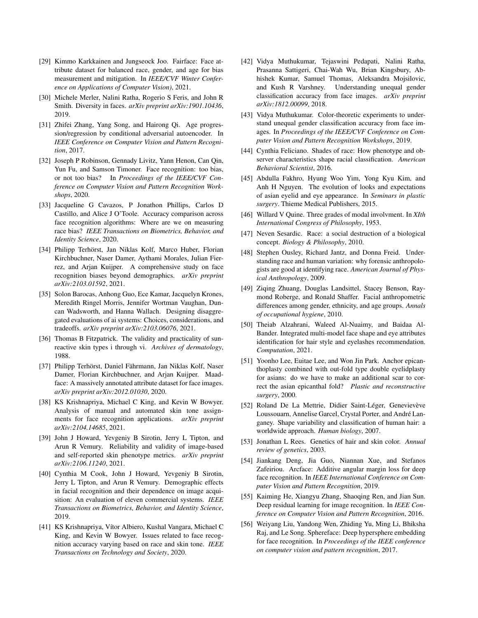- [29] Kimmo Karkkainen and Jungseock Joo. Fairface: Face attribute dataset for balanced race, gender, and age for bias measurement and mitigation. In *IEEE/CVF Winter Conference on Applications of Computer Vision)*, 2021.
- [30] Michele Merler, Nalini Ratha, Rogerio S Feris, and John R Smith. Diversity in faces. *arXiv preprint arXiv:1901.10436*, 2019.
- [31] Zhifei Zhang, Yang Song, and Hairong Qi. Age progression/regression by conditional adversarial autoencoder. In *IEEE Conference on Computer Vision and Pattern Recognition*, 2017.
- [32] Joseph P Robinson, Gennady Livitz, Yann Henon, Can Qin, Yun Fu, and Samson Timoner. Face recognition: too bias, or not too bias? In *Proceedings of the IEEE/CVF Conference on Computer Vision and Pattern Recognition Workshops*, 2020.
- [33] Jacqueline G Cavazos, P Jonathon Phillips, Carlos D Castillo, and Alice J O'Toole. Accuracy comparison across face recognition algorithms: Where are we on measuring race bias? *IEEE Transactions on Biometrics, Behavior, and Identity Science*, 2020.
- [34] Philipp Terhörst, Jan Niklas Kolf, Marco Huber, Florian Kirchbuchner, Naser Damer, Aythami Morales, Julian Fierrez, and Arjan Kuijper. A comprehensive study on face recognition biases beyond demographics. *arXiv preprint arXiv:2103.01592*, 2021.
- [35] Solon Barocas, Anhong Guo, Ece Kamar, Jacquelyn Krones, Meredith Ringel Morris, Jennifer Wortman Vaughan, Duncan Wadsworth, and Hanna Wallach. Designing disaggregated evaluations of ai systems: Choices, considerations, and tradeoffs. *arXiv preprint arXiv:2103.06076*, 2021.
- [36] Thomas B Fitzpatrick. The validity and practicality of sunreactive skin types i through vi. *Archives of dermatology*, 1988.
- [37] Philipp Terhörst, Daniel Fährmann, Jan Niklas Kolf, Naser Damer, Florian Kirchbuchner, and Arjan Kuijper. Maadface: A massively annotated attribute dataset for face images. *arXiv preprint arXiv:2012.01030*, 2020.
- [38] KS Krishnapriya, Michael C King, and Kevin W Bowyer. Analysis of manual and automated skin tone assignments for face recognition applications. *arXiv preprint arXiv:2104.14685*, 2021.
- [39] John J Howard, Yevgeniy B Sirotin, Jerry L Tipton, and Arun R Vemury. Reliability and validity of image-based and self-reported skin phenotype metrics. *arXiv preprint arXiv:2106.11240*, 2021.
- [40] Cynthia M Cook, John J Howard, Yevgeniy B Sirotin, Jerry L Tipton, and Arun R Vemury. Demographic effects in facial recognition and their dependence on image acquisition: An evaluation of eleven commercial systems. *IEEE Transactions on Biometrics, Behavior, and Identity Science*, 2019.
- [41] KS Krishnapriya, Vítor Albiero, Kushal Vangara, Michael C King, and Kevin W Bowyer. Issues related to face recognition accuracy varying based on race and skin tone. *IEEE Transactions on Technology and Society*, 2020.
- [42] Vidya Muthukumar, Tejaswini Pedapati, Nalini Ratha, Prasanna Sattigeri, Chai-Wah Wu, Brian Kingsbury, Abhishek Kumar, Samuel Thomas, Aleksandra Mojsilovic, and Kush R Varshney. Understanding unequal gender classification accuracy from face images. *arXiv preprint arXiv:1812.00099*, 2018.
- [43] Vidya Muthukumar. Color-theoretic experiments to understand unequal gender classification accuracy from face images. In *Proceedings of the IEEE/CVF Conference on Computer Vision and Pattern Recognition Workshops*, 2019.
- [44] Cynthia Feliciano. Shades of race: How phenotype and observer characteristics shape racial classification. *American Behavioral Scientist*, 2016.
- [45] Abdulla Fakhro, Hyung Woo Yim, Yong Kyu Kim, and Anh H Nguyen. The evolution of looks and expectations of asian eyelid and eye appearance. In *Seminars in plastic surgery*. Thieme Medical Publishers, 2015.
- [46] Willard V Quine. Three grades of modal involvment. In *XIth International Congress of Philosophy*, 1953.
- [47] Neven Sesardic. Race: a social destruction of a biological concept. *Biology & Philosophy*, 2010.
- [48] Stephen Ousley, Richard Jantz, and Donna Freid. Understanding race and human variation: why forensic anthropologists are good at identifying race. *American Journal of Physical Anthropology*, 2009.
- [49] Ziqing Zhuang, Douglas Landsittel, Stacey Benson, Raymond Roberge, and Ronald Shaffer. Facial anthropometric differences among gender, ethnicity, and age groups. *Annals of occupational hygiene*, 2010.
- [50] Theiab Alzahrani, Waleed Al-Nuaimy, and Baidaa Al-Bander. Integrated multi-model face shape and eye attributes identification for hair style and eyelashes recommendation. *Computation*, 2021.
- [51] Yoonho Lee, Euitae Lee, and Won Jin Park. Anchor epicanthoplasty combined with out-fold type double eyelidplasty for asians: do we have to make an additional scar to correct the asian epicanthal fold? *Plastic and reconstructive surgery*, 2000.
- [52] Roland De La Mettrie, Didier Saint-Léger, Genevievève Loussouarn, Annelise Garcel, Crystal Porter, and André Langaney. Shape variability and classification of human hair: a worldwide approach. *Human biology*, 2007.
- [53] Jonathan L Rees. Genetics of hair and skin color. *Annual review of genetics*, 2003.
- [54] Jiankang Deng, Jia Guo, Niannan Xue, and Stefanos Zafeiriou. Arcface: Additive angular margin loss for deep face recognition. In *IEEE International Conference on Computer Vision and Pattern Recognition*, 2019.
- [55] Kaiming He, Xiangyu Zhang, Shaoqing Ren, and Jian Sun. Deep residual learning for image recognition. In *IEEE Conference on Computer Vision and Pattern Recognition*, 2016.
- [56] Weiyang Liu, Yandong Wen, Zhiding Yu, Ming Li, Bhiksha Raj, and Le Song. Sphereface: Deep hypersphere embedding for face recognition. In *Proceedings of the IEEE conference on computer vision and pattern recognition*, 2017.